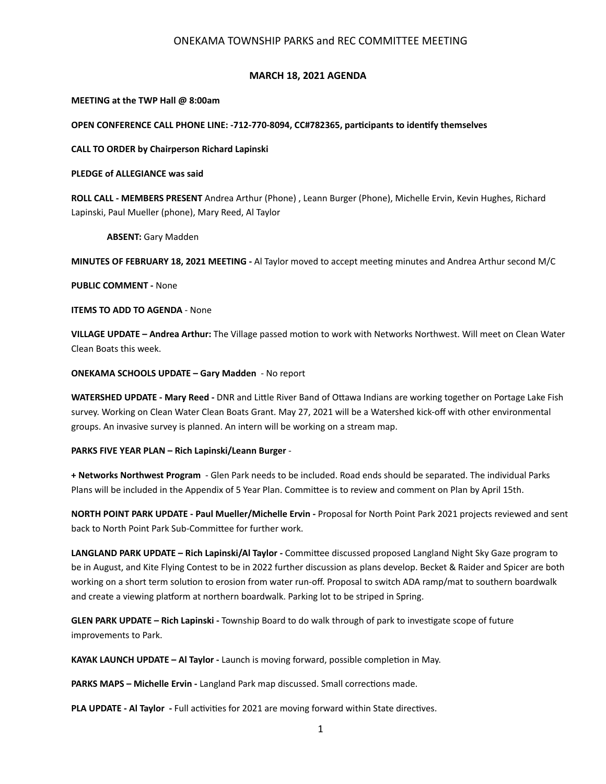# ONEKAMA TOWNSHIP PARKS and REC COMMITTEE MEETING

## **MARCH 18, 2021 AGENDA**

#### **MEETING at the TWP Hall @ 8:00am**

### OPEN CONFERENCE CALL PHONE LINE: -712-770-8094, CC#782365, participants to identify themselves

### **CALL TO ORDER by Chairperson Richard Lapinski**

## **PLEDGE of ALLEGIANCE was said**

**ROLL CALL - MEMBERS PRESENT** Andrea Arthur (Phone) , Leann Burger (Phone), Michelle Ervin, Kevin Hughes, Richard Lapinski, Paul Mueller (phone), Mary Reed, Al Taylor

 **ABSENT:** Gary Madden

**MINUTES OF FEBRUARY 18, 2021 MEETING -** Al Taylor moved to accept meeIng minutes and Andrea Arthur second M/C

**PUBLIC COMMENT -** None

**ITEMS TO ADD TO AGENDA** - None

**VILLAGE UPDATE – Andrea Arthur:** The Village passed motion to work with Networks Northwest. Will meet on Clean Water Clean Boats this week.

**ONEKAMA SCHOOLS UPDATE – Gary Madden** - No report

WATERSHED UPDATE - Mary Reed - DNR and Little River Band of Ottawa Indians are working together on Portage Lake Fish survey. Working on Clean Water Clean Boats Grant. May 27, 2021 will be a Watershed kick-off with other environmental groups. An invasive survey is planned. An intern will be working on a stream map.

#### **PARKS FIVE YEAR PLAN – Rich Lapinski/Leann Burger** -

**+ Networks Northwest Program** - Glen Park needs to be included. Road ends should be separated. The individual Parks Plans will be included in the Appendix of 5 Year Plan. Committee is to review and comment on Plan by April 15th.

**NORTH POINT PARK UPDATE - Paul Mueller/Michelle Ervin -** Proposal for North Point Park 2021 projects reviewed and sent back to North Point Park Sub-Committee for further work.

LANGLAND PARK UPDATE – Rich Lapinski/Al Taylor - Committee discussed proposed Langland Night Sky Gaze program to be in August, and Kite Flying Contest to be in 2022 further discussion as plans develop. Becket & Raider and Spicer are both working on a short term solution to erosion from water run-off. Proposal to switch ADA ramp/mat to southern boardwalk and create a viewing platform at northern boardwalk. Parking lot to be striped in Spring.

**GLEN PARK UPDATE - Rich Lapinski** - Township Board to do walk through of park to investigate scope of future improvements to Park.

**KAYAK LAUNCH UPDATE – AI Taylor - Launch is moving forward, possible completion in May.** 

**PARKS MAPS – Michelle Ervin - Langland Park map discussed. Small corrections made.** 

**PLA UPDATE - AI Taylor - Full activities for 2021 are moving forward within State directives.**